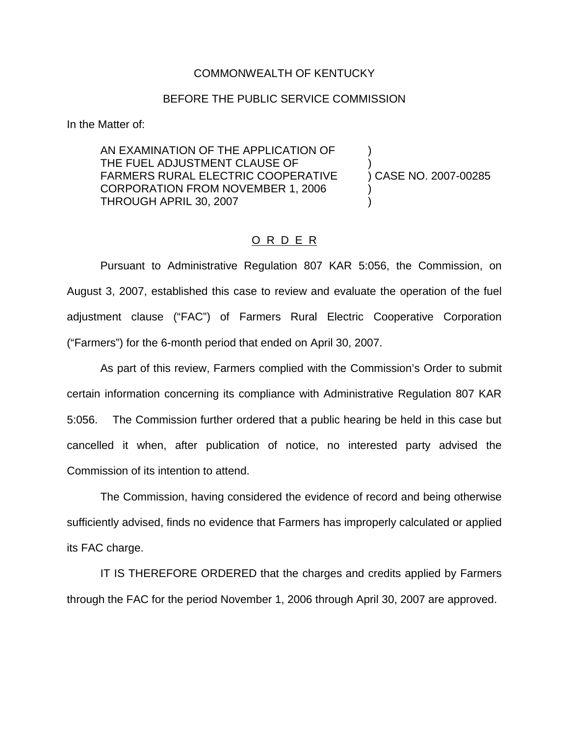## COMMONWEALTH OF KENTUCKY

## BEFORE THE PUBLIC SERVICE COMMISSION

In the Matter of:

AN EXAMINATION OF THE APPLICATION OF ) THE FUEL ADJUSTMENT CLAUSE OF FARMERS RURAL ELECTRIC COOPERATIVE ) CASE NO. 2007-00285 CORPORATION FROM NOVEMBER 1, 2006 ) THROUGH APRIL 30, 2007 )

## O R D E R

Pursuant to Administrative Regulation 807 KAR 5:056, the Commission, on August 3, 2007, established this case to review and evaluate the operation of the fuel adjustment clause ("FAC") of Farmers Rural Electric Cooperative Corporation ("Farmers") for the 6-month period that ended on April 30, 2007.

As part of this review, Farmers complied with the Commission's Order to submit certain information concerning its compliance with Administrative Regulation 807 KAR 5:056. The Commission further ordered that a public hearing be held in this case but cancelled it when, after publication of notice, no interested party advised the Commission of its intention to attend.

The Commission, having considered the evidence of record and being otherwise sufficiently advised, finds no evidence that Farmers has improperly calculated or applied its FAC charge.

IT IS THEREFORE ORDERED that the charges and credits applied by Farmers through the FAC for the period November 1, 2006 through April 30, 2007 are approved.